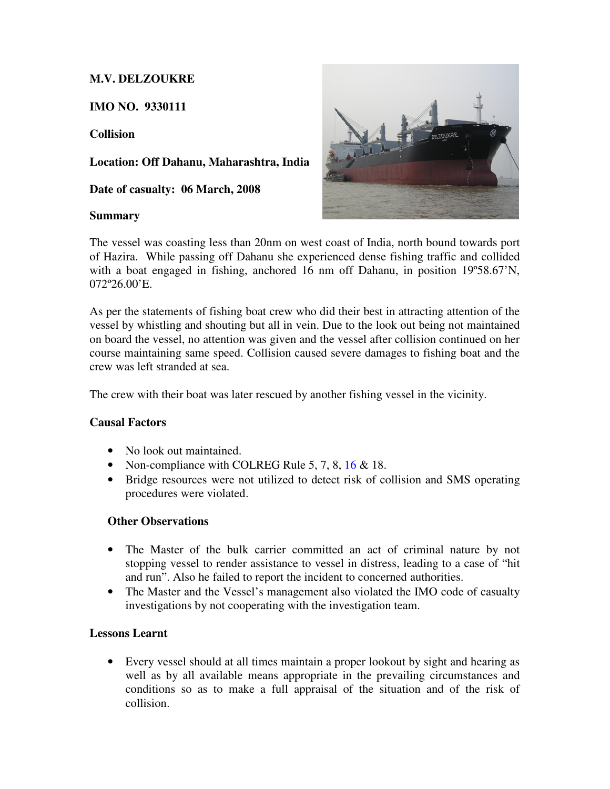# **M.V. DELZOUKRE**

**IMO NO. 9330111** 

**Collision** 

**Location: Off Dahanu, Maharashtra, India** 

**Date of casualty: 06 March, 2008** 

# **Summary**



The vessel was coasting less than 20nm on west coast of India, north bound towards port of Hazira. While passing off Dahanu she experienced dense fishing traffic and collided with a boat engaged in fishing, anchored 16 nm off Dahanu, in position 19°58.67'N, 072º26.00'E.

As per the statements of fishing boat crew who did their best in attracting attention of the vessel by whistling and shouting but all in vein. Due to the look out being not maintained on board the vessel, no attention was given and the vessel after collision continued on her course maintaining same speed. Collision caused severe damages to fishing boat and the crew was left stranded at sea.

The crew with their boat was later rescued by another fishing vessel in the vicinity.

# **Causal Factors**

- No look out maintained.
- Non-compliance with COLREG Rule 5, 7, 8, 16  $\&$  18.
- Bridge resources were not utilized to detect risk of collision and SMS operating procedures were violated.

# **Other Observations**

- The Master of the bulk carrier committed an act of criminal nature by not stopping vessel to render assistance to vessel in distress, leading to a case of "hit and run". Also he failed to report the incident to concerned authorities.
- The Master and the Vessel's management also violated the IMO code of casualty investigations by not cooperating with the investigation team.

# **Lessons Learnt**

• Every vessel should at all times maintain a proper lookout by sight and hearing as well as by all available means appropriate in the prevailing circumstances and conditions so as to make a full appraisal of the situation and of the risk of collision.